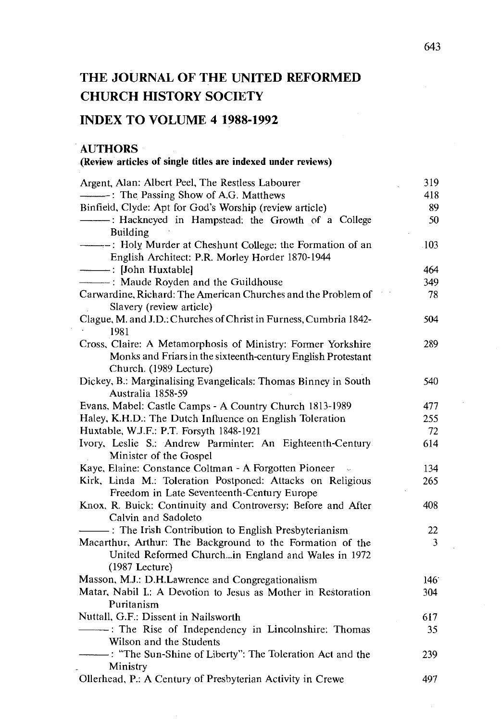# THE JOURNAL OF THE UNITED REFORMED CHURCH HISTORY SOCIETY

## INDEX TO VOLUME 4 1988-1992

#### AUTHORS

#### (Review articles of single titles are indexed under reviews)

| Argent, Alan: Albert Peel, The Restless Labourer                  | 319  |
|-------------------------------------------------------------------|------|
| -: The Passing Show of A.G. Matthews                              | 418  |
| Binfield, Clyde: Apt for God's Worship (review article)           | 89   |
| --------- : Hackneyed in Hampstead: the Growth of a College       | 50   |
| <b>Building</b>                                                   |      |
|                                                                   | .103 |
| English Architect: P.R. Morley Horder 1870-1944                   |      |
|                                                                   | 464  |
| - Maude Royden and the Guildhouse                                 | 349  |
| Carwardine, Richard: The American Churches and the Problem of     | 78   |
| Slavery (review article)                                          |      |
| Clague, M. and J.D.: Churches of Christ in Furness, Cumbria 1842- | 504  |
| 1981                                                              |      |
| Cross, Claire: A Metamorphosis of Ministry: Former Yorkshire      | 289  |
| Monks and Friars in the sixteenth-century English Protestant      |      |
| Church. (1989 Lecture)                                            |      |
| Dickey, B.: Marginalising Evangelicals: Thomas Binney in South    | 540  |
| Australia 1858-59                                                 |      |
| Evans, Mabel: Castle Camps - A Country Church 1813-1989           | 477  |
| Haley, K.H.D.: The Dutch Influence on English Toleration          | 255  |
| Huxtable, W.J.F.: P.T. Forsyth 1848-1921                          | 72   |
| Ivory, Leslie S.: Andrew Parminter: An Eighteenth-Century         | 614  |
| Minister of the Gospel                                            |      |
| Kaye, Elaine: Constance Coltman - A Forgotten Pioneer             | 134  |
| Kirk, Linda M.: Toleration Postponed: Attacks on Religious        | 265  |
| Freedom in Late Seventeenth-Century Europe                        |      |
| Knox, R. Buick: Continuity and Controversy: Before and After      | 408  |
| Calvin and Sadoleto                                               |      |
| The Irish Contribution to English Presbyterianism                 | 22   |
| Macarthur, Arthur: The Background to the Formation of the         | 3    |
| United Reformed Churchin England and Wales in 1972                |      |
| $(1987$ Lecture)                                                  |      |
| Masson, M.J.: D.H.Lawrence and Congregationalism                  | 146  |
| Matar, Nabil I.: A Devotion to Jesus as Mother in Restoration     | 304  |
| Puritanism                                                        |      |
| Nuttall, G.F.: Dissent in Nailsworth                              | 617  |
| --------: The Rise of Independency in Lincolnshire: Thomas        | 35   |
| Wilson and the Students                                           |      |
| - The Sun-Shine of Liberty": The Toleration Act and the           | 239  |
| Ministry                                                          |      |
| Ollerhead, P.: A Century of Presbyterian Activity in Crewe        | 497  |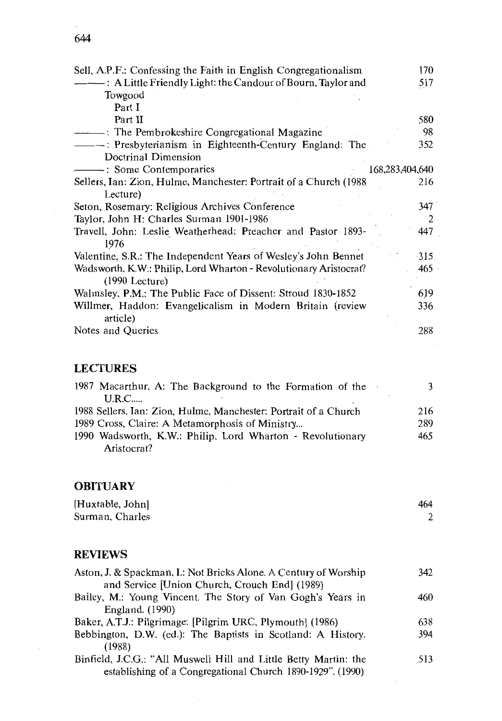| 644 |  |  |  |
|-----|--|--|--|
|     |  |  |  |

| Sell, A.P.F.: Confessing the Faith in English Congregationalism                       | 170             |
|---------------------------------------------------------------------------------------|-----------------|
| - A Little Friendly Light: the Candour of Bourn, Taylor and                           | 517             |
| Towgood                                                                               |                 |
| Part I                                                                                |                 |
| Part II                                                                               | 580             |
| - The Pembrokeshire Congregational Magazine                                           | 98              |
| - Presbyterianism in Eighteenth-Century England: The                                  | 352             |
| Doctrinal Dimension                                                                   |                 |
| Some Contemporaries                                                                   | 168,283,404,640 |
| Sellers, Ian: Zion, Hulme, Manchester: Portrait of a Church (1988)                    | 216             |
| Lecture)                                                                              |                 |
| Seton, Rosemary: Religious Archives Conference                                        | 347             |
| Taylor, John H: Charles Surman 1901-1986                                              | $\overline{2}$  |
| Travell, John: Leslie Weatherhead: Preacher and Pastor 1893-                          | 447             |
| 1976                                                                                  |                 |
| Valentine, S.R.: The Independent Years of Wesley's John Bennet                        | $-315$          |
| Wadsworth, K.W.: Philip, Lord Wharton - Revolutionary Aristocrat?<br>$(1990$ Lecture) | 465             |
| Walmsley, P.M.: The Public Face of Dissent: Stroud 1830-1852                          | 619             |
| Willmer, Haddon: Evangelicalism in Modern Britain (review<br>article)                 | 336             |
| Notes and Queries                                                                     | 288             |

### **LECTURES**

| 1987 Macarthur, A: The Background to the Formation of the        |     |
|------------------------------------------------------------------|-----|
| U.R.C                                                            |     |
| 1988 Sellers, Ian: Zion, Hulme, Manchester: Portrait of a Church | 216 |
| 1989 Cross, Claire: A Metamorphosis of Ministry                  | 289 |
| 1990 Wadsworth, K.W.: Philip, Lord Wharton - Revolutionary       | 465 |
| Aristocrat?                                                      |     |

#### **OBITUARY**

| [Huxtable, John] | 464 |
|------------------|-----|
| Surman, Charles  |     |

#### **REVIEWS**

| Aston, J. & Spackman, I.: Not Bricks Alone. A Century of Worship | 342 |
|------------------------------------------------------------------|-----|
| and Service [Union Church, Crouch End] (1989)                    |     |
| Bailey, M.: Young Vincent. The Story of Van Gogh's Years in      | 460 |
| England. (1990)                                                  |     |
| Baker, A.T.J.: Pilgrimage: [Pilgrim URC, Plymouth] (1986)        | 638 |
| Bebbington, D.W. (ed.): The Baptists in Scotland: A History.     | 394 |
| (1988)                                                           |     |
| Binfield, J.C.G.: "All Muswell Hill and Little Betty Martin: the | 513 |
| establishing of a Congregational Church 1890-1929". (1990)       |     |

 $\cdot$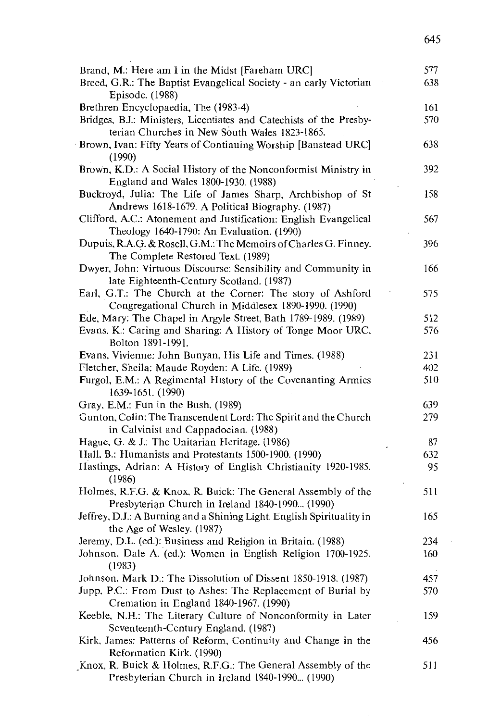| Brand, M.: Here am I in the Midst [Fareham URC]                                                    | 577 |
|----------------------------------------------------------------------------------------------------|-----|
| Breed, G.R.: The Baptist Evangelical Society - an early Victorian                                  | 638 |
| Episode. (1988)                                                                                    |     |
| Brethren Encyclopaedia, The (1983-4)                                                               | 161 |
| Bridges, B.J.: Ministers, Licentiates and Catechists of the Presby-                                | 570 |
| terian Churches in New South Wales 1823-1865.                                                      |     |
| Brown, Ivan: Fifty Years of Continuing Worship [Banstead URC]                                      | 638 |
| (1990)                                                                                             |     |
| Brown, K.D.: A Social History of the Nonconformist Ministry in                                     | 392 |
| England and Wales 1800-1930. (1988)                                                                |     |
| Buckroyd, Julia: The Life of James Sharp, Archbishop of St                                         | 158 |
| Andrews 1618-1679. A Political Biography. (1987)                                                   |     |
| Clifford, A.C.: Atonement and Justification: English Evangelical                                   | 567 |
| Theology 1640-1790: An Evaluation. (1990)                                                          |     |
| Dupuis, R.A.G. & Rosell, G.M.: The Memoirs of Charles G. Finney.                                   | 396 |
| The Complete Restored Text. (1989)                                                                 |     |
| Dwyer, John: Virtuous Discourse: Sensibility and Community in                                      | 166 |
| late Eighteenth-Century Scotland. (1987)                                                           |     |
| Earl, G.T.: The Church at the Corner: The story of Ashford                                         | 575 |
| Congregational Church in Middlesex 1890-1990. (1990)                                               |     |
| Ede, Mary: The Chapel in Argyle Street, Bath 1789-1989. (1989)                                     | 512 |
| Evans, K.: Caring and Sharing: A History of Tonge Moor URC,                                        | 576 |
| Bolton 1891-1991.                                                                                  |     |
| Evans, Vivienne: John Bunyan, His Life and Times. (1988)                                           | 231 |
| Fletcher, Sheila: Maude Royden: A Life. (1989)                                                     | 402 |
| Furgol, E.M.: A Regimental History of the Covenanting Armies                                       | 510 |
| 1639-1651. (1990)                                                                                  |     |
| Gray, E.M.: Fun in the Bush. (1989)                                                                | 639 |
| Gunton, Colin: The Transcendent Lord: The Spirit and the Church                                    | 279 |
| in Calvinist and Cappadocian. (1988)                                                               |     |
| Hague, G. & J.: The Unitarian Heritage. (1986)                                                     | 87  |
| Hall, B.: Humanists and Protestants 1500-1900. (1990)                                              | 632 |
| Hastings, Adrian: A History of English Christianity 1920-1985.                                     | 95  |
| (1986)                                                                                             |     |
| Holmes, R.F.G. & Knox, R. Buick: The General Assembly of the                                       | 511 |
| Presbyterian Church in Ireland 1840-1990 (1990)                                                    |     |
| Jeffrey, D.J.: A Burning and a Shining Light. English Spirituality in<br>the Age of Wesley. (1987) | 165 |
| Jeremy, D.L. (ed.): Business and Religion in Britain. (1988)                                       | 234 |
| Johnson, Dale A. (ed.): Women in English Religion 1700-1925.                                       | 160 |
| (1983)                                                                                             |     |
| Johnson, Mark D.: The Dissolution of Dissent 1850-1918. (1987)                                     | 457 |
| Jupp, P.C.: From Dust to Ashes: The Replacement of Burial by                                       | 570 |
| Cremation in England 1840-1967. (1990)                                                             |     |
| Keeble, N.H.: The Literary Culture of Nonconformity in Later                                       | 159 |
| Seventeenth-Century England. (1987)                                                                |     |
| Kirk, James: Patterns of Reform, Continuity and Change in the                                      | 456 |
| Reformation Kirk. (1990)                                                                           |     |
| Knox, R. Buick & Holmes, R.F.G.: The General Assembly of the                                       | 511 |
| Presbyterian Church in Ireland 1840-1990 (1990)                                                    |     |
|                                                                                                    |     |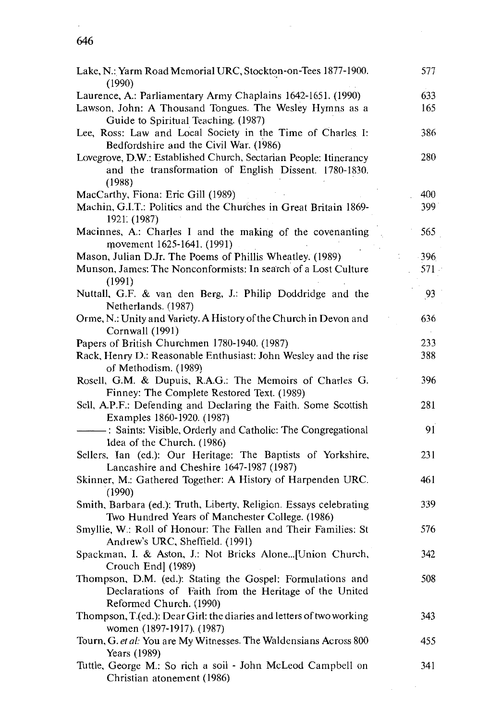#### 646

| Lake, N.: Yarm Road Memorial URC, Stockton-on-Tees 1877-1900.<br>(1990)                                                                                        | 577        |
|----------------------------------------------------------------------------------------------------------------------------------------------------------------|------------|
| Laurence, A.: Parliamentary Army Chaplains 1642-1651. (1990)<br>Lawson, John: A Thousand Tongues. The Wesley Hymns as a<br>Guide to Spiritual Teaching. (1987) | 633<br>165 |
| Lee, Ross: Law and Local Society in the Time of Charles I:<br>Bedfordshire and the Civil War. (1986)                                                           | 386        |
| Lovegrove, D.W.: Established Church, Sectarian People: Itinerancy<br>and the transformation of English Dissent. 1780-1830.<br>(1988)                           | 280        |
| MacCarthy, Fiona: Eric Gill (1989)                                                                                                                             | 400        |
| Machin, G.I.T.: Politics and the Churches in Great Britain 1869-<br>1921. (1987)                                                                               | 399        |
| Macinnes, A.: Charles I and the making of the covenanting<br>movement 1625-1641. (1991)                                                                        | 565        |
| Mason, Julian D.Jr. The Poems of Phillis Wheatley. (1989)                                                                                                      | $-396$     |
| Munson, James: The Nonconformists: In search of a Lost Culture<br>(1991)                                                                                       | 571        |
| Nuttall, G.F. & van den Berg, J.: Philip Doddridge and the<br>Netherlands. (1987)                                                                              | 93         |
| Orme, N.: Unity and Variety. A History of the Church in Devon and<br>Cornwall (1991)                                                                           | 636        |
| Papers of British Churchmen 1780-1940. (1987)                                                                                                                  | 233        |
| Rack, Henry D.: Reasonable Enthusiast: John Wesley and the rise<br>of Methodism. (1989)                                                                        | 388        |
| Rosell, G.M. & Dupuis, R.A.G.: The Memoirs of Charles G.<br>Finney: The Complete Restored Text. (1989)                                                         | 396        |
| Sell, A.P.F.: Defending and Declaring the Faith. Some Scottish<br>Examples 1860-1920. (1987)                                                                   | 281        |
| -: Saints: Visible, Orderly and Catholic: The Congregational<br>Idea of the Church. (1986)                                                                     | 91         |
| Sellers, Ian (ed.): Our Heritage: The Baptists of Yorkshire,<br>Lancashire and Cheshire 1647-1987 (1987)                                                       | 231        |
| Skinner, M.: Gathered Together: A History of Harpenden URC.<br>(1990)                                                                                          | 461        |
| Smith, Barbara (ed.): Truth, Liberty, Religion. Essays celebrating<br>Two Hundred Years of Manchester College. (1986)                                          | 339        |
| Smyllie, W.: Roll of Honour: The Fallen and Their Families: St<br>Andrew's URC, Sheffield. (1991)                                                              | 576        |
| Spackman, I. & Aston, J.: Not Bricks Alone[Union Church,<br>Crouch End] (1989)                                                                                 | 342        |
| Thompson, D.M. (ed.): Stating the Gospel: Formulations and<br>Declarations of Faith from the Heritage of the United<br>Reformed Church. (1990)                 | 508        |
| Thompson, T.(ed.): Dear Girl: the diaries and letters of two working<br>women (1897-1917). (1987)                                                              | 343        |
| Tourn, G. et al: You are My Witnesses. The Waldensians Across 800<br>Years (1989)                                                                              | 455        |
| Tuttle, George M.: So rich a soil - John McLeod Campbell on<br>Christian atonement (1986)                                                                      | 341        |

 $\ddot{\phantom{0}}$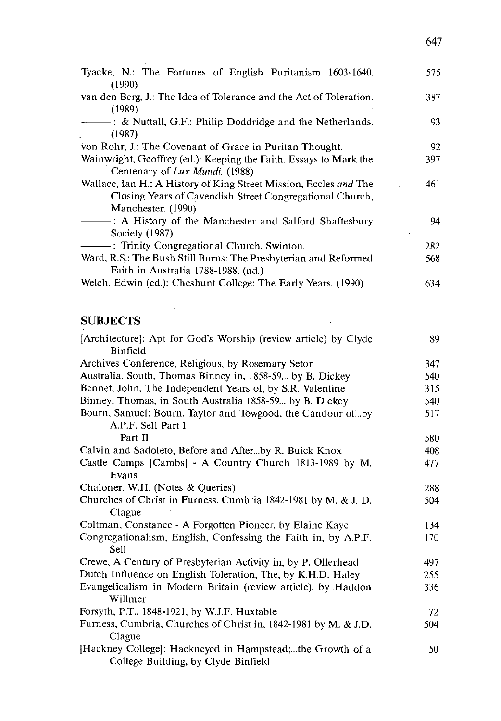| Tyacke, N.: The Fortunes of English Puritanism 1603-1640.<br>(1990)                                                                                 | 575  |
|-----------------------------------------------------------------------------------------------------------------------------------------------------|------|
| van den Berg, J.: The Idea of Tolerance and the Act of Toleration.<br>(1989)                                                                        | 387  |
| (1987)                                                                                                                                              | 93   |
| von Rohr, J.: The Covenant of Grace in Puritan Thought.                                                                                             | 92   |
| Wainwright, Geoffrey (ed.): Keeping the Faith. Essays to Mark the<br>Centenary of Lux Mundi. (1988)                                                 | 397. |
| Wallace, Ian H.: A History of King Street Mission, Eccles and The<br>Closing Years of Cavendish Street Congregational Church,<br>Manchester. (1990) | 461  |
| - A History of the Manchester and Salford Shaftesbury<br>Society (1987)                                                                             | 94   |
| - Trinity Congregational Church, Swinton.                                                                                                           | 282  |
| Ward, R.S.: The Bush Still Burns: The Presbyterian and Reformed<br>Faith in Australia 1788-1988. (nd.)                                              | 568  |
| Welch, Edwin (ed.): Cheshunt College: The Early Years. (1990)                                                                                       | 634  |

# **SUBJECTS**

| [Architecture]: Apt for God's Worship (review article) by Clyde<br>Binfield                      | 89  |
|--------------------------------------------------------------------------------------------------|-----|
| Archives Conference, Religious, by Rosemary Seton                                                | 347 |
| Australia, South, Thomas Binney in, 1858-59 by B. Dickey                                         | 540 |
| Bennet, John, The Independent Years of, by S.R. Valentine                                        | 315 |
| Binney, Thomas, in South Australia 1858-59 by B. Dickey                                          | 540 |
| Bourn, Samuel: Bourn, Taylor and Towgood, the Candour ofby                                       | 517 |
| A.P.F. Sell Part I                                                                               |     |
| Part II                                                                                          | 580 |
| Calvin and Sadoleto, Before and Afterby R. Buick Knox                                            | 408 |
| Castle Camps [Cambs] - A Country Church 1813-1989 by M.                                          | 477 |
| Evans                                                                                            |     |
| Chaloner, W.H. (Notes & Queries)                                                                 | 288 |
| Churches of Christ in Furness, Cumbria 1842-1981 by M. & J. D.                                   | 504 |
| Clague                                                                                           |     |
| Coltman, Constance - A Forgotten Pioneer, by Elaine Kaye                                         | 134 |
| Congregationalism, English, Confessing the Faith in, by A.P.F.<br>Sell                           | 170 |
| Crewe, A Century of Presbyterian Activity in, by P. Ollerhead                                    | 497 |
| Dutch Influence on English Toleration, The, by K.H.D. Haley                                      | 255 |
| Evangelicalism in Modern Britain (review article), by Haddon<br>Willmer                          | 336 |
| Forsyth, P.T., 1848-1921, by W.J.F. Huxtable                                                     | 72  |
| Furness, Cumbria, Churches of Christ in, 1842-1981 by M. & J.D.<br>Clague                        | 504 |
| [Hackney College]: Hackneyed in Hampstead;the Growth of a<br>College Building, by Clyde Binfield | 50  |